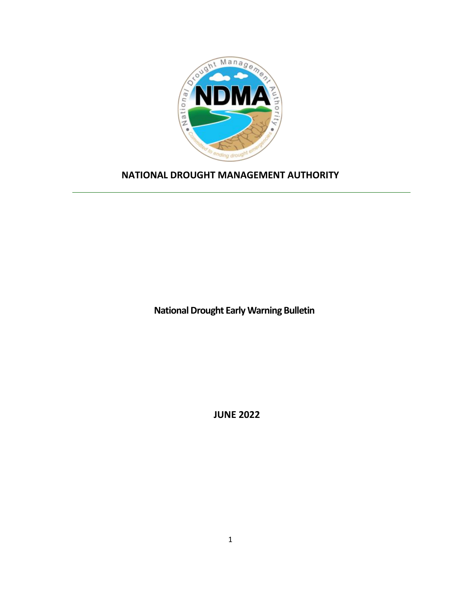

# **NATIONAL DROUGHT MANAGEMENT AUTHORITY**

 **National Drought Early Warning Bulletin**

 **JUNE 2022**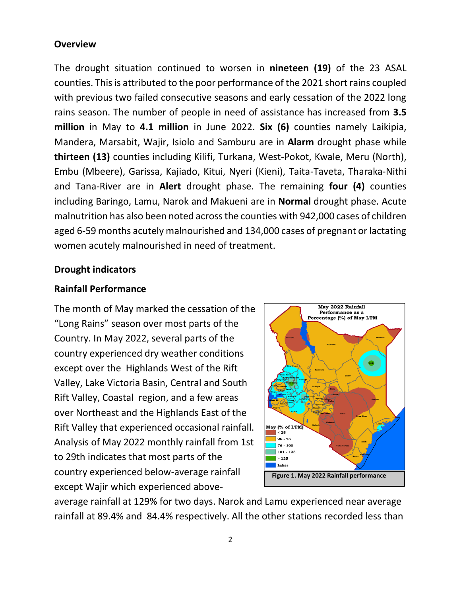#### **Overview**

The drought situation continued to worsen in **nineteen (19)** of the 23 ASAL counties. This is attributed to the poor performance of the 2021 short rains coupled with previous two failed consecutive seasons and early cessation of the 2022 long rains season. The number of people in need of assistance has increased from **3.5 million** in May to **4.1 million** in June 2022. **Six (6)** counties namely Laikipia, Mandera, Marsabit, Wajir, Isiolo and Samburu are in **Alarm** drought phase while **thirteen (13)** counties including Kilifi, Turkana, West-Pokot, Kwale, Meru (North), Embu (Mbeere), Garissa, Kajiado, Kitui, Nyeri (Kieni), Taita-Taveta, Tharaka-Nithi and Tana-River are in **Alert** drought phase. The remaining **four (4)** counties including Baringo, Lamu, Narok and Makueni are in **Normal** drought phase. Acute malnutrition has also been noted across the counties with 942,000 cases of children aged 6-59 months acutely malnourished and 134,000 cases of pregnant or lactating women acutely malnourished in need of treatment.

#### **Drought indicators**

#### **Rainfall Performance**

The month of May marked the cessation of the "Long Rains" season over most parts of the Country. In May 2022, several parts of the country experienced dry weather conditions except over the Highlands West of the Rift Valley, Lake Victoria Basin, Central and South Rift Valley, Coastal region, and a few areas over Northeast and the Highlands East of the Rift Valley that experienced occasional rainfall. Analysis of May 2022 monthly rainfall from 1st to 29th indicates that most parts of the country experienced below-average rainfall except Wajir which experienced above-



average rainfall at 129% for two days. Narok and Lamu experienced near average rainfall at 89.4% and 84.4% respectively. All the other stations recorded less than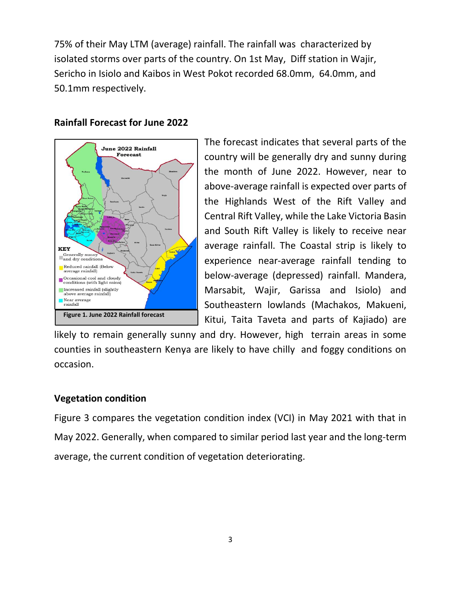75% of their May LTM (average) rainfall. The rainfall was characterized by isolated storms over parts of the country. On 1st May, Diff station in Wajir, Sericho in Isiolo and Kaibos in West Pokot recorded 68.0mm, 64.0mm, and 50.1mm respectively.



## **Rainfall Forecast for June 2022**

The forecast indicates that several parts of the country will be generally dry and sunny during the month of June 2022. However, near to above-average rainfall is expected over parts of the Highlands West of the Rift Valley and Central Rift Valley, while the Lake Victoria Basin and South Rift Valley is likely to receive near average rainfall. The Coastal strip is likely to experience near-average rainfall tending to below-average (depressed) rainfall. Mandera, Marsabit, Wajir, Garissa and Isiolo) and Southeastern lowlands (Machakos, Makueni, Kitui, Taita Taveta and parts of Kajiado) are

likely to remain generally sunny and dry. However, high terrain areas in some counties in southeastern Kenya are likely to have chilly and foggy conditions on occasion.

# **Vegetation condition**

Figure 3 compares the vegetation condition index (VCI) in May 2021 with that in May 2022. Generally, when compared to similar period last year and the long-term average, the current condition of vegetation deteriorating.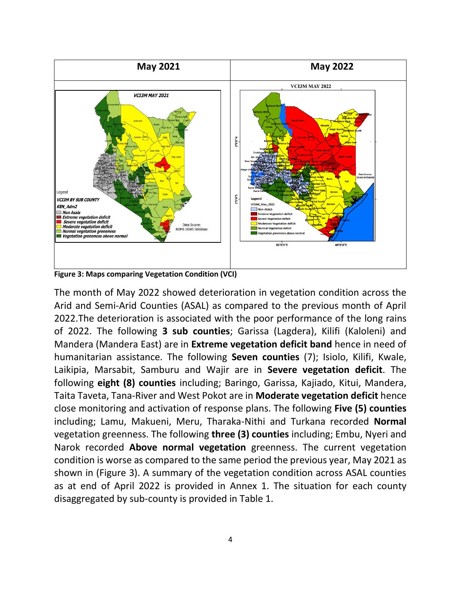

**Figure 3: Maps comparing Vegetation Condition (VCI)**

The month of May 2022 showed deterioration in vegetation condition across the Arid and Semi-Arid Counties (ASAL) as compared to the previous month of April 2022.The deterioration is associated with the poor performance of the long rains of 2022. The following **3 sub counties**; Garissa (Lagdera), Kilifi (Kaloleni) and Mandera (Mandera East) are in **Extreme vegetation deficit band** hence in need of humanitarian assistance. The following **Seven counties** (7); Isiolo, Kilifi, Kwale, Laikipia, Marsabit, Samburu and Wajir are in **Severe vegetation deficit**. The following **eight (8) counties** including; Baringo, Garissa, Kajiado, Kitui, Mandera, Taita Taveta, Tana-River and West Pokot are in **Moderate vegetation deficit** hence close monitoring and activation of response plans. The following **Five (5) counties** including; Lamu, Makueni, Meru, Tharaka-Nithi and Turkana recorded **Normal** vegetation greenness. The following **three (3) counties** including; Embu, Nyeri and Narok recorded **Above normal vegetation** greenness. The current vegetation condition is worse as compared to the same period the previous year, May 2021 as shown in (Figure 3). A summary of the vegetation condition across ASAL counties as at end of April 2022 is provided in Annex 1. The situation for each county disaggregated by sub-county is provided in Table 1.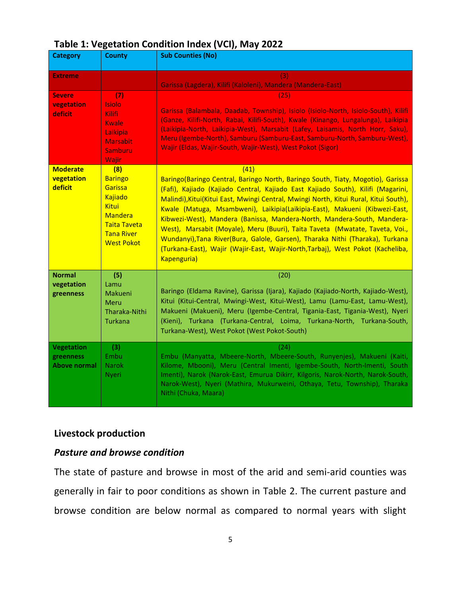| <b>Category</b>                                          | <b>County</b>                                                                                                                                  | <b>Sub Counties (No)</b>                                                                                                                                                                                                                                                                                                                                                                                                                                                                                                                                                                                                                                                                        |
|----------------------------------------------------------|------------------------------------------------------------------------------------------------------------------------------------------------|-------------------------------------------------------------------------------------------------------------------------------------------------------------------------------------------------------------------------------------------------------------------------------------------------------------------------------------------------------------------------------------------------------------------------------------------------------------------------------------------------------------------------------------------------------------------------------------------------------------------------------------------------------------------------------------------------|
| <b>Extreme</b><br><b>Severe</b><br>vegetation<br>deficit | (7)<br><b>Isiolo</b><br><b>Kilifi</b><br>Kwale<br>Laikipia<br><b>Marsabit</b>                                                                  | (3)<br>Garissa (Lagdera), Kilifi (Kaloleni), Mandera (Mandera-East)<br>(25)<br>Garissa (Balambala, Daadab, Township), Isiolo (Isiolo-North, Isiolo-South), Kilifi<br>(Ganze, Kilifi-North, Rabai, Kilifi-South), Kwale (Kinango, Lungalunga), Laikipia<br>(Laikipia-North, Laikipia-West), Marsabit (Lafey, Laisamis, North Horr, Saku),<br>Meru (Igembe-North), Samburu (Samburu-East, Samburu-North, Samburu-West),                                                                                                                                                                                                                                                                           |
|                                                          | <b>Samburu</b><br>Wajir                                                                                                                        | Wajir (Eldas, Wajir-South, Wajir-West), West Pokot (Sigor)                                                                                                                                                                                                                                                                                                                                                                                                                                                                                                                                                                                                                                      |
| <b>Moderate</b><br>vegetation<br>deficit                 | (8)<br><b>Baringo</b><br>Garissa<br>Kajiado<br><b>Kitui</b><br><b>Mandera</b><br><b>Taita Taveta</b><br><b>Tana River</b><br><b>West Pokot</b> | (41)<br>Baringo(Baringo Central, Baringo North, Baringo South, Tiaty, Mogotio), Garissa<br>(Fafi), Kajiado (Kajiado Central, Kajiado East Kajiado South), Kilifi (Magarini,<br>Malindi), Kitui(Kitui East, Mwingi Central, Mwingi North, Kitui Rural, Kitui South),<br>Kwale (Matuga, Msambweni), Laikipia(Laikipia-East), Makueni (Kibwezi-East,<br>Kibwezi-West), Mandera (Banissa, Mandera-North, Mandera-South, Mandera-<br>West), Marsabit (Moyale), Meru (Buuri), Taita Taveta (Mwatate, Taveta, Voi.,<br>Wundanyi), Tana River(Bura, Galole, Garsen), Tharaka Nithi (Tharaka), Turkana<br>(Turkana-East), Wajir (Wajir-East, Wajir-North, Tarbaj), West Pokot (Kacheliba,<br>Kapenguria) |
| <b>Normal</b><br>vegetation<br>greenness                 | (5)<br>Lamu<br>Makueni<br>Meru<br>Tharaka-Nithi<br><b>Turkana</b>                                                                              | (20)<br>Baringo (Eldama Ravine), Garissa (Ijara), Kajiado (Kajiado-North, Kajiado-West),<br>Kitui (Kitui-Central, Mwingi-West, Kitui-West), Lamu (Lamu-East, Lamu-West),<br>Makueni (Makueni), Meru (Igembe-Central, Tigania-East, Tigania-West), Nyeri<br>(Kieni), Turkana (Turkana-Central, Loima, Turkana-North, Turkana-South,<br>Turkana-West), West Pokot (West Pokot-South)                                                                                                                                                                                                                                                                                                              |
| <b>Vegetation</b><br>greenness<br>Above normal           | (3)<br>Embu<br><b>Narok</b><br><b>Nyeri</b>                                                                                                    | (24)<br>Embu (Manyatta, Mbeere-North, Mbeere-South, Runyenjes), Makueni (Kaiti,<br>Kilome, Mbooni), Meru (Central Imenti, Igembe-South, North-Imenti, South<br>Imenti), Narok (Narok-East, Emurua Dikirr, Kilgoris, Narok-North, Narok-South,<br>Narok-West), Nyeri (Mathira, Mukurweini, Othaya, Tetu, Township), Tharaka<br>Nithi (Chuka, Maara)                                                                                                                                                                                                                                                                                                                                              |

# **Table 1: Vegetation Condition Index (VCI), May 2022**

## **Livestock production**

## *Pasture and browse condition*

The state of pasture and browse in most of the arid and semi-arid counties was generally in fair to poor conditions as shown in Table 2. The current pasture and browse condition are below normal as compared to normal years with slight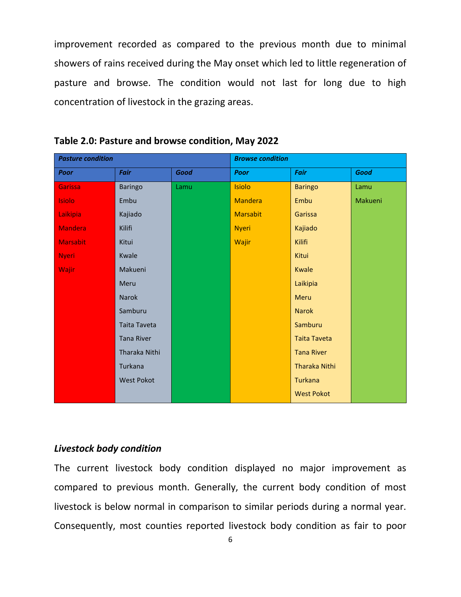improvement recorded as compared to the previous month due to minimal showers of rains received during the May onset which led to little regeneration of pasture and browse. The condition would not last for long due to high concentration of livestock in the grazing areas.

| <b>Pasture condition</b> |                     |      | <b>Browse condition</b> |                     |         |  |
|--------------------------|---------------------|------|-------------------------|---------------------|---------|--|
| Poor                     | <b>Fair</b>         | Good | <b>Poor</b>             | Fair                | Good    |  |
| Garissa                  | <b>Baringo</b>      | Lamu | <b>Isiolo</b>           | <b>Baringo</b>      | Lamu    |  |
| <b>Isiolo</b>            | Embu                |      | <b>Mandera</b>          | Embu                | Makueni |  |
| Laikipia                 | Kajiado             |      | <b>Marsabit</b>         | Garissa             |         |  |
| Mandera                  | Kilifi              |      | <b>Nyeri</b>            | Kajiado             |         |  |
| <b>Marsabit</b>          | Kitui               |      | Wajir                   | Kilifi              |         |  |
| <b>Nyeri</b>             | Kwale               |      |                         | Kitui               |         |  |
| Wajir                    | Makueni             |      |                         | Kwale               |         |  |
|                          | Meru                |      |                         | Laikipia            |         |  |
|                          | Narok               |      |                         | Meru                |         |  |
|                          | Samburu             |      |                         | <b>Narok</b>        |         |  |
|                          | <b>Taita Taveta</b> |      |                         | Samburu             |         |  |
|                          | <b>Tana River</b>   |      |                         | <b>Taita Taveta</b> |         |  |
|                          | Tharaka Nithi       |      |                         | <b>Tana River</b>   |         |  |
|                          | Turkana             |      |                         | Tharaka Nithi       |         |  |
|                          | <b>West Pokot</b>   |      |                         | <b>Turkana</b>      |         |  |
|                          |                     |      |                         | <b>West Pokot</b>   |         |  |

**Table 2.0: Pasture and browse condition, May 2022**

### *Livestock body condition*

The current livestock body condition displayed no major improvement as compared to previous month. Generally, the current body condition of most livestock is below normal in comparison to similar periods during a normal year. Consequently, most counties reported livestock body condition as fair to poor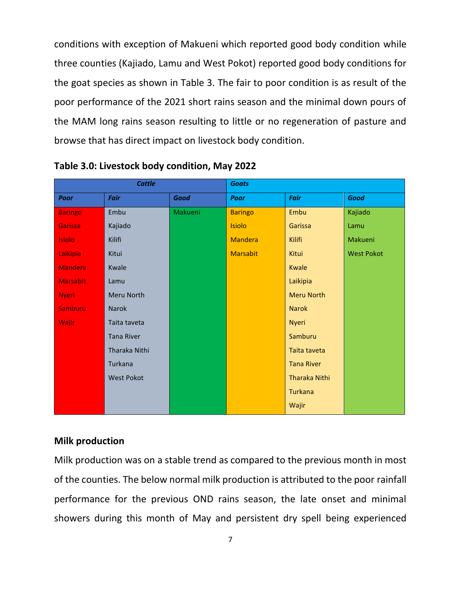conditions with exception of Makueni which reported good body condition while three counties (Kajiado, Lamu and West Pokot) reported good body conditions for the goat species as shown in Table 3. The fair to poor condition is as result of the poor performance of the 2021 short rains season and the minimal down pours of the MAM long rains season resulting to little or no regeneration of pasture and browse that has direct impact on livestock body condition.

| <b>Cattle</b>  |                   |         | <b>Goats</b>    |                      |                   |  |  |
|----------------|-------------------|---------|-----------------|----------------------|-------------------|--|--|
| Poor           | <b>Fair</b>       | Good    | <b>Poor</b>     | <b>Fair</b>          | Good              |  |  |
| <b>Baringo</b> | Embu              | Makueni | <b>Baringo</b>  | Embu                 | Kajiado           |  |  |
| Garissa        | Kajiado           |         | <b>Isiolo</b>   | Garissa              | Lamu              |  |  |
| <b>Isiolo</b>  | Kilifi            |         | <b>Mandera</b>  | Kilifi               | Makueni           |  |  |
| Laikipia       | Kitui             |         | <b>Marsabit</b> | Kitui                | <b>West Pokot</b> |  |  |
| Mandera        | Kwale             |         |                 | <b>Kwale</b>         |                   |  |  |
| Marsabit       | Lamu              |         |                 | Laikipia             |                   |  |  |
| <b>Nyeri</b>   | Meru North        |         |                 | <b>Meru North</b>    |                   |  |  |
| Samburu        | Narok             |         |                 | <b>Narok</b>         |                   |  |  |
| Wajir          | Taita taveta      |         |                 | <b>Nyeri</b>         |                   |  |  |
|                | <b>Tana River</b> |         |                 | Samburu              |                   |  |  |
|                | Tharaka Nithi     |         |                 | Taita taveta         |                   |  |  |
|                | Turkana           |         |                 | <b>Tana River</b>    |                   |  |  |
|                | <b>West Pokot</b> |         |                 | <b>Tharaka Nithi</b> |                   |  |  |
|                |                   |         |                 | <b>Turkana</b>       |                   |  |  |
|                |                   |         |                 | Wajir                |                   |  |  |

## **Table 3.0: Livestock body condition, May 2022**

#### **Milk production**

Milk production was on a stable trend as compared to the previous month in most of the counties. The below normal milk production is attributed to the poor rainfall performance for the previous OND rains season, the late onset and minimal showers during this month of May and persistent dry spell being experienced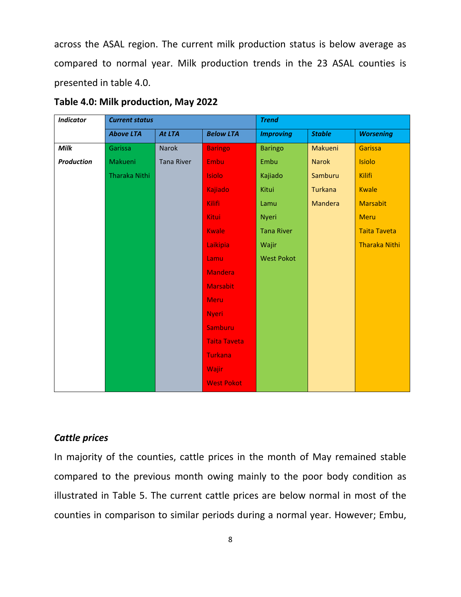across the ASAL region. The current milk production status is below average as compared to normal year. Milk production trends in the 23 ASAL counties is presented in table 4.0.

| <b>Indicator</b>  | <b>Current status</b> |                   |                     | <b>Trend</b>      |                |                      |
|-------------------|-----------------------|-------------------|---------------------|-------------------|----------------|----------------------|
|                   | <b>Above LTA</b>      | <b>At LTA</b>     | <b>Below LTA</b>    | <b>Improving</b>  | <b>Stable</b>  | <b>Worsening</b>     |
| <b>Milk</b>       | Garissa               | <b>Narok</b>      | <b>Baringo</b>      | <b>Baringo</b>    | Makueni        | <b>Garissa</b>       |
| <b>Production</b> | Makueni               | <b>Tana River</b> | Embu                | Embu              | <b>Narok</b>   | <b>Isiolo</b>        |
|                   | Tharaka Nithi         |                   | Isiolo              | Kajiado           | Samburu        | <b>Kilifi</b>        |
|                   |                       |                   | Kajiado             | Kitui             | <b>Turkana</b> | <b>Kwale</b>         |
|                   |                       |                   | <b>Kilifi</b>       | Lamu              | Mandera        | <b>Marsabit</b>      |
|                   |                       |                   | <b>Kitui</b>        | Nyeri             |                | <b>Meru</b>          |
|                   |                       |                   | <b>Kwale</b>        | <b>Tana River</b> |                | <b>Taita Taveta</b>  |
|                   |                       |                   | Laikipia            | Wajir             |                | <b>Tharaka Nithi</b> |
|                   |                       |                   | Lamu                | <b>West Pokot</b> |                |                      |
|                   |                       |                   | <b>Mandera</b>      |                   |                |                      |
|                   |                       |                   | <b>Marsabit</b>     |                   |                |                      |
|                   |                       |                   | <b>Meru</b>         |                   |                |                      |
|                   |                       |                   | <b>Nyeri</b>        |                   |                |                      |
|                   |                       |                   | <b>Samburu</b>      |                   |                |                      |
|                   |                       |                   | <b>Taita Taveta</b> |                   |                |                      |
|                   |                       |                   | <b>Turkana</b>      |                   |                |                      |
|                   |                       |                   | Wajir               |                   |                |                      |
|                   |                       |                   | <b>West Pokot</b>   |                   |                |                      |

**Table 4.0: Milk production, May 2022**

## *Cattle prices*

In majority of the counties, cattle prices in the month of May remained stable compared to the previous month owing mainly to the poor body condition as illustrated in Table 5. The current cattle prices are below normal in most of the counties in comparison to similar periods during a normal year. However; Embu,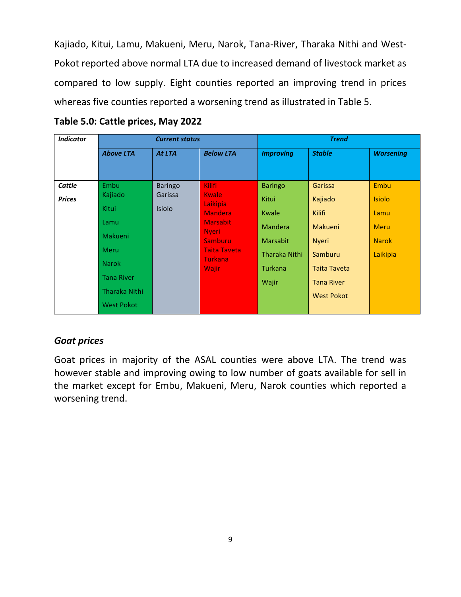Kajiado, Kitui, Lamu, Makueni, Meru, Narok, Tana-River, Tharaka Nithi and West-Pokot reported above normal LTA due to increased demand of livestock market as compared to low supply. Eight counties reported an improving trend in prices whereas five counties reported a worsening trend as illustrated in Table 5.

| <b>Indicator</b> |                   | <b>Current status</b> |                          | <b>Trend</b>         |                     |                  |  |
|------------------|-------------------|-----------------------|--------------------------|----------------------|---------------------|------------------|--|
|                  | <b>Above LTA</b>  | At LTA                | <b>Below LTA</b>         | <b>Improving</b>     | <b>Stable</b>       | <b>Worsening</b> |  |
|                  |                   |                       |                          |                      |                     |                  |  |
| Cattle           | Embu              | <b>Baringo</b>        | Kilifi.                  | <b>Baringo</b>       | Garissa             | Embu             |  |
| <b>Prices</b>    | Kajiado           | Garissa               | <b>Kwale</b><br>Laikipia | Kitui                | Kajiado             | <b>Isiolo</b>    |  |
|                  | <b>Kitui</b>      | <b>Isiolo</b>         | <b>Mandera</b>           | Kwale                | Kilifi              | Lamu             |  |
|                  | Lamu              |                       | <b>Marsabit</b>          | Mandera              | Makueni             | <b>Meru</b>      |  |
|                  | Makueni           |                       | <b>Nyeri</b><br>Samburu  | <b>Marsabit</b>      | <b>Nyeri</b>        | <b>Narok</b>     |  |
|                  | Meru              |                       | <b>Taita Taveta</b>      | <b>Tharaka Nithi</b> | Samburu             | Laikipia         |  |
|                  | <b>Narok</b>      |                       | <b>Turkana</b><br>Wajir  | <b>Turkana</b>       | <b>Taita Taveta</b> |                  |  |
|                  | <b>Tana River</b> |                       |                          |                      |                     |                  |  |
|                  | Tharaka Nithi     |                       |                          | Wajir                | <b>Tana River</b>   |                  |  |
|                  | <b>West Pokot</b> |                       |                          |                      | <b>West Pokot</b>   |                  |  |

| Table 5.0: Cattle prices, May 2022 |  |  |  |
|------------------------------------|--|--|--|
|------------------------------------|--|--|--|

# *Goat prices*

Goat prices in majority of the ASAL counties were above LTA. The trend was however stable and improving owing to low number of goats available for sell in the market except for Embu, Makueni, Meru, Narok counties which reported a worsening trend.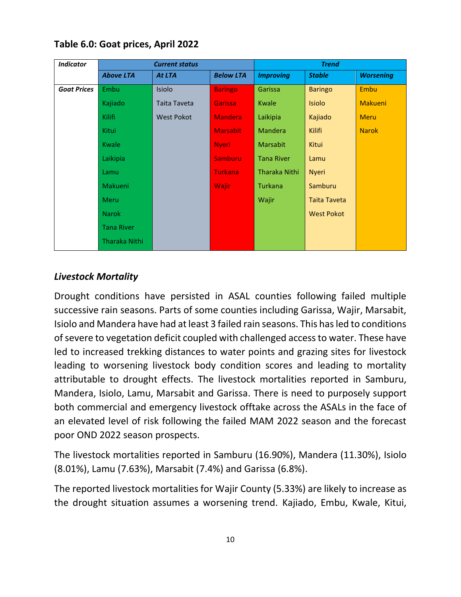| <b>Indicator</b>   |                   | <b>Current status</b> |                  |                   | <b>Trend</b>        |                  |
|--------------------|-------------------|-----------------------|------------------|-------------------|---------------------|------------------|
|                    | <b>Above LTA</b>  | <b>At LTA</b>         | <b>Below LTA</b> | <b>Improving</b>  | <b>Stable</b>       | <b>Worsening</b> |
| <b>Goat Prices</b> | Embu              | Isiolo                | <b>Baringo</b>   | Garissa           | <b>Baringo</b>      | Embu             |
|                    | Kajiado           | Taita Taveta          | <b>Garissa</b>   | Kwale             | <b>Isiolo</b>       | <b>Makueni</b>   |
|                    | Kilifi            | <b>West Pokot</b>     | <b>Mandera</b>   | Laikipia          | Kajiado             | <b>Meru</b>      |
|                    | <b>Kitui</b>      |                       | <b>Marsabit</b>  | Mandera           | <b>Kilifi</b>       | <b>Narok</b>     |
|                    | Kwale             |                       | <b>Nveri</b>     | Marsabit          | Kitui               |                  |
|                    | Laikipia          |                       | <b>Samburu</b>   | <b>Tana River</b> | Lamu                |                  |
|                    | Lamu              |                       | <b>Turkana</b>   | Tharaka Nithi     | <b>Nyeri</b>        |                  |
|                    | Makueni           |                       | Wajir            | Turkana           | Samburu             |                  |
|                    | <b>Meru</b>       |                       |                  | Wajir             | <b>Taita Taveta</b> |                  |
|                    | <b>Narok</b>      |                       |                  |                   | <b>West Pokot</b>   |                  |
|                    | <b>Tana River</b> |                       |                  |                   |                     |                  |
|                    | Tharaka Nithi     |                       |                  |                   |                     |                  |

# **Table 6.0: Goat prices, April 2022**

# *Livestock Mortality*

Drought conditions have persisted in ASAL counties following failed multiple successive rain seasons. Parts of some counties including Garissa, Wajir, Marsabit, Isiolo and Mandera have had at least 3 failed rain seasons. This has led to conditions of severe to vegetation deficit coupled with challenged access to water. These have led to increased trekking distances to water points and grazing sites for livestock leading to worsening livestock body condition scores and leading to mortality attributable to drought effects. The livestock mortalities reported in Samburu, Mandera, Isiolo, Lamu, Marsabit and Garissa. There is need to purposely support both commercial and emergency livestock offtake across the ASALs in the face of an elevated level of risk following the failed MAM 2022 season and the forecast poor OND 2022 season prospects.

The livestock mortalities reported in Samburu (16.90%), Mandera (11.30%), Isiolo (8.01%), Lamu (7.63%), Marsabit (7.4%) and Garissa (6.8%).

The reported livestock mortalities for Wajir County (5.33%) are likely to increase as the drought situation assumes a worsening trend. Kajiado, Embu, Kwale, Kitui,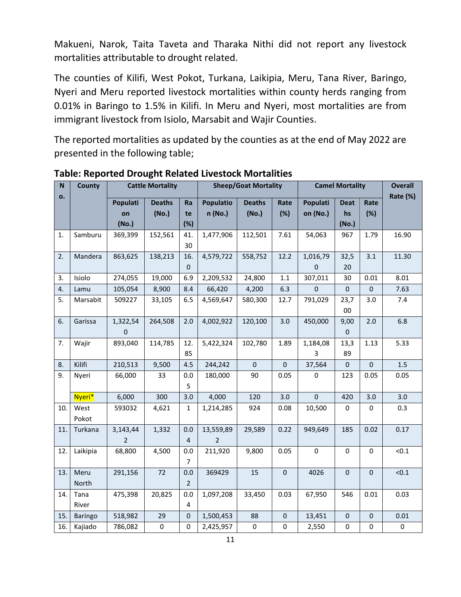Makueni, Narok, Taita Taveta and Tharaka Nithi did not report any livestock mortalities attributable to drought related.

The counties of Kilifi, West Pokot, Turkana, Laikipia, Meru, Tana River, Baringo, Nyeri and Meru reported livestock mortalities within county herds ranging from 0.01% in Baringo to 1.5% in Kilifi. In Meru and Nyeri, most mortalities are from immigrant livestock from Isiolo, Marsabit and Wajir Counties.

The reported mortalities as updated by the counties as at the end of May 2022 are presented in the following table;

| N<br>0. | <b>County</b> |                | <b>Cattle Mortality</b> |                         |                  | <b>Sheep/Goat Mortality</b> |           | <b>Camel Mortality</b> |             |           | <b>Overall</b><br>Rate (%) |
|---------|---------------|----------------|-------------------------|-------------------------|------------------|-----------------------------|-----------|------------------------|-------------|-----------|----------------------------|
|         |               | Populati       | <b>Deaths</b>           | Ra                      | <b>Populatio</b> | <b>Deaths</b>               | Rate      | Populati               | <b>Deat</b> | Rate      |                            |
|         |               | on             | (No.)                   | te                      | n (No.)          | (No.)                       | (%)       | on (No.)               | hs          | (%)       |                            |
|         |               | (No.)          |                         | (%)                     |                  |                             |           |                        | (No.)       |           |                            |
| 1.      | Samburu       | 369,399        | 152,561                 | 41.                     | 1,477,906        | 112,501                     | 7.61      | 54,063                 | 967         | 1.79      | 16.90                      |
|         |               |                |                         | 30                      |                  |                             |           |                        |             |           |                            |
| 2.      | Mandera       | 863,625        | 138,213                 | 16.                     | 4,579,722        | 558,752                     | 12.2      | 1,016,79               | 32,5        | 3.1       | 11.30                      |
|         |               |                |                         | $\pmb{0}$               |                  |                             |           | 0                      | 20          |           |                            |
| 3.      | Isiolo        | 274,055        | 19,000                  | 6.9                     | 2,209,532        | 24,800                      | $1.1\,$   | 307,011                | 30          | 0.01      | 8.01                       |
| 4.      | Lamu          | 105,054        | 8,900                   | 8.4                     | 66,420           | 4,200                       | 6.3       | $\mathbf 0$            | $\mathbf 0$ | $\pmb{0}$ | 7.63                       |
| 5.      | Marsabit      | 509227         | 33,105                  | 6.5                     | 4,569,647        | 580,300                     | 12.7      | 791,029                | 23,7        | 3.0       | 7.4                        |
|         |               |                |                         |                         |                  |                             |           |                        | $00\,$      |           |                            |
| 6.      | Garissa       | 1,322,54       | 264,508                 | 2.0                     | 4,002,922        | 120,100                     | 3.0       | 450,000                | 9,00        | 2.0       | 6.8                        |
|         |               | $\pmb{0}$      |                         |                         |                  |                             |           |                        | $\pmb{0}$   |           |                            |
| 7.      | Wajir         | 893,040        | 114,785                 | 12.                     | 5,422,324        | 102,780                     | 1.89      | 1,184,08               | 13,3        | 1.13      | 5.33                       |
|         |               |                |                         | 85                      |                  |                             |           | 3                      | 89          |           |                            |
| 8.      | Kilifi        | 210,513        | 9,500                   | 4.5                     | 244,242          | $\pmb{0}$                   | $\pmb{0}$ | 37,564                 | $\pmb{0}$   | $\pmb{0}$ | $1.5\,$                    |
| 9.      | Nyeri         | 66,000         | 33                      | 0.0                     | 180,000          | 90                          | 0.05      | 0                      | 123         | 0.05      | 0.05                       |
|         |               |                |                         | 5                       |                  |                             |           |                        |             |           |                            |
|         | Nyeri*        | 6,000          | 300                     | 3.0                     | 4,000            | 120                         | 3.0       | 0                      | 420         | 3.0       | 3.0                        |
| 10.     | West          | 593032         | 4,621                   | $\mathbf{1}$            | 1,214,285        | 924                         | 0.08      | 10,500                 | 0           | $\pmb{0}$ | 0.3                        |
|         | Pokot         |                |                         |                         |                  |                             |           |                        |             |           |                            |
| 11.     | Turkana       | 3,143,44       | 1,332                   | 0.0                     | 13,559,89        | 29,589                      | 0.22      | 949,649                | 185         | 0.02      | 0.17                       |
|         |               | $\overline{2}$ |                         | $\overline{4}$          | $\overline{2}$   |                             |           |                        |             |           |                            |
| 12.     | Laikipia      | 68,800         | 4,500                   | 0.0                     | 211,920          | 9,800                       | 0.05      | $\pmb{0}$              | 0           | $\pmb{0}$ | < 0.1                      |
|         |               |                |                         | $\overline{7}$          |                  |                             |           |                        |             |           |                            |
| 13.     | Meru          | 291,156        | 72                      | 0.0                     | 369429           | 15                          | $\pmb{0}$ | 4026                   | $\mathbf 0$ | $\pmb{0}$ | < 0.1                      |
|         | North         |                |                         | $\overline{2}$          |                  |                             |           |                        |             |           |                            |
| 14.     | Tana          | 475,398        | 20,825                  | 0.0                     | 1,097,208        | 33,450                      | 0.03      | 67,950                 | 546         | 0.01      | 0.03                       |
|         | River         |                |                         | $\overline{\mathbf{4}}$ |                  |                             |           |                        |             |           |                            |
| 15.     | Baringo       | 518,982        | 29                      | $\mathbf 0$             | 1,500,453        | 88                          | $\pmb{0}$ | 13,451                 | $\pmb{0}$   | $\pmb{0}$ | 0.01                       |
| 16.     | Kajiado       | 786,082        | $\pmb{0}$               | 0                       | 2,425,957        | $\pmb{0}$                   | $\pmb{0}$ | 2,550                  | 0           | 0         | $\pmb{0}$                  |

**Table: Reported Drought Related Livestock Mortalities**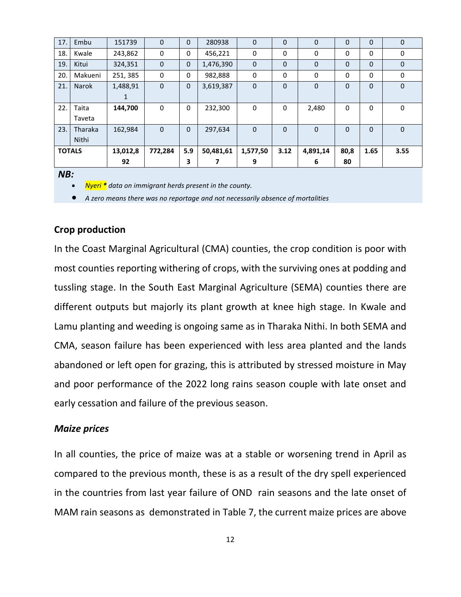| 17. | Embu          | 151739   | 0            | $\Omega$ | 280938    | $\mathbf 0$  | 0            | 0           | 0        | $\mathbf 0$ | $\mathbf 0$ |
|-----|---------------|----------|--------------|----------|-----------|--------------|--------------|-------------|----------|-------------|-------------|
| 18. | Kwale         | 243,862  | 0            | 0        | 456,221   | 0            | 0            | 0           | 0        | 0           | 0           |
| 19. | Kitui         | 324,351  | $\mathbf{0}$ | 0        | 1,476,390 | $\mathbf{0}$ | $\mathbf{0}$ | $\mathbf 0$ | 0        | 0           | $\mathbf 0$ |
| 20. | Makueni       | 251, 385 | 0            | 0        | 982,888   | 0            | $\Omega$     | $\Omega$    | 0        | 0           | 0           |
| 21. | <b>Narok</b>  | 1,488,91 | $\mathbf{0}$ | 0        | 3,619,387 | $\Omega$     | $\Omega$     | $\Omega$    | $\Omega$ | $\Omega$    | $\Omega$    |
|     |               | 1        |              |          |           |              |              |             |          |             |             |
| 22. | Taita         | 144,700  | 0            | 0        | 232,300   | 0            | 0            | 2,480       | 0        | 0           | 0           |
|     | Taveta        |          |              |          |           |              |              |             |          |             |             |
| 23. | Tharaka       | 162,984  | $\mathbf 0$  | 0        | 297,634   | $\mathbf{0}$ | $\Omega$     | $\Omega$    | 0        | $\Omega$    | $\mathbf 0$ |
|     | Nithi         |          |              |          |           |              |              |             |          |             |             |
|     | <b>TOTALS</b> | 13,012,8 | 772,284      | 5.9      | 50,481,61 | 1,577,50     | 3.12         | 4,891,14    | 80,8     | 1.65        | 3.55        |
|     |               | 92       |              | 3        |           | 9            |              | 6           | 80       |             |             |

#### *NB:*

• *Nyeri \* data on immigrant herds present in the county.*

• *A zero means there was no reportage and not necessarily absence of mortalities*

#### **Crop production**

In the Coast Marginal Agricultural (CMA) counties, the crop condition is poor with most counties reporting withering of crops, with the surviving ones at podding and tussling stage. In the South East Marginal Agriculture (SEMA) counties there are different outputs but majorly its plant growth at knee high stage. In Kwale and Lamu planting and weeding is ongoing same as in Tharaka Nithi. In both SEMA and CMA, season failure has been experienced with less area planted and the lands abandoned or left open for grazing, this is attributed by stressed moisture in May and poor performance of the 2022 long rains season couple with late onset and early cessation and failure of the previous season.

#### *Maize prices*

In all counties, the price of maize was at a stable or worsening trend in April as compared to the previous month, these is as a result of the dry spell experienced in the countries from last year failure of OND rain seasons and the late onset of MAM rain seasons as demonstrated in Table 7, the current maize prices are above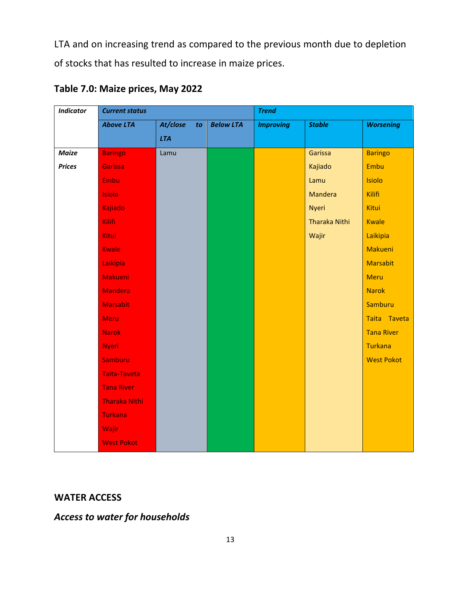LTA and on increasing trend as compared to the previous month due to depletion of stocks that has resulted to increase in maize prices.

| <b>Indicator</b> | <b>Current status</b> |                |                  | <b>Trend</b>     |                      |                   |  |
|------------------|-----------------------|----------------|------------------|------------------|----------------------|-------------------|--|
|                  | <b>Above LTA</b>      | At/close<br>to | <b>Below LTA</b> | <b>Improving</b> | <b>Stable</b>        | <b>Worsening</b>  |  |
|                  |                       | <b>LTA</b>     |                  |                  |                      |                   |  |
| <b>Maize</b>     | <b>Baringo</b>        | Lamu           |                  |                  | Garissa              | <b>Baringo</b>    |  |
| <b>Prices</b>    | Garissa               |                |                  |                  | Kajiado              | Embu              |  |
|                  | Embu                  |                |                  |                  | Lamu                 | Isiolo            |  |
|                  | Isiolo                |                |                  |                  | Mandera              | <b>Kilifi</b>     |  |
|                  | Kajiado               |                |                  |                  | Nyeri                | Kitui             |  |
|                  | <b>Kilifi</b>         |                |                  |                  | <b>Tharaka Nithi</b> | <b>Kwale</b>      |  |
|                  | <b>Kitui</b>          |                |                  |                  | Wajir                | Laikipia          |  |
|                  | <b>Kwale</b>          |                |                  |                  |                      | Makueni           |  |
|                  | Laikipia              |                |                  |                  |                      | <b>Marsabit</b>   |  |
|                  | Makueni               |                |                  |                  |                      | Meru              |  |
|                  | Mandera               |                |                  |                  |                      | <b>Narok</b>      |  |
|                  | <b>Marsabit</b>       |                |                  |                  |                      | Samburu           |  |
|                  | Meru                  |                |                  |                  |                      | Taita Taveta      |  |
|                  | <b>Narok</b>          |                |                  |                  |                      | <b>Tana River</b> |  |
|                  | <b>Nyeri</b>          |                |                  |                  |                      | <b>Turkana</b>    |  |
|                  | <b>Samburu</b>        |                |                  |                  |                      | <b>West Pokot</b> |  |
|                  | <b>Taita-Taveta</b>   |                |                  |                  |                      |                   |  |
|                  | <b>Tana River</b>     |                |                  |                  |                      |                   |  |
|                  | <b>Tharaka Nithi</b>  |                |                  |                  |                      |                   |  |
|                  | <b>Turkana</b>        |                |                  |                  |                      |                   |  |
|                  | Wajir                 |                |                  |                  |                      |                   |  |
|                  | <b>West Pokot</b>     |                |                  |                  |                      |                   |  |

**Table 7.0: Maize prices, May 2022**

# **WATER ACCESS**

# *Access to water for households*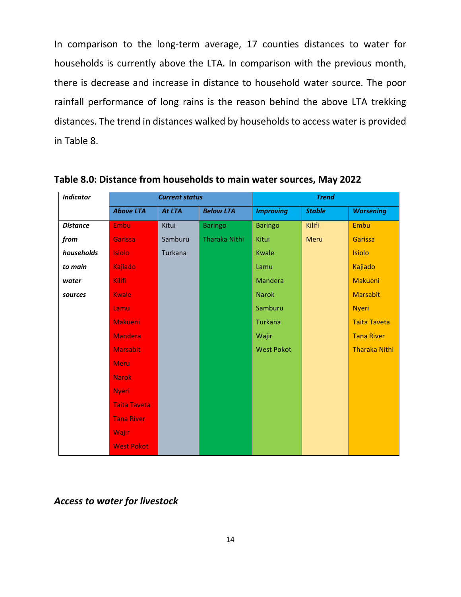In comparison to the long-term average, 17 counties distances to water for households is currently above the LTA. In comparison with the previous month, there is decrease and increase in distance to household water source. The poor rainfall performance of long rains is the reason behind the above LTA trekking distances. The trend in distances walked by households to access water is provided in Table 8.

| <b>Indicator</b> |                     | <b>Current status</b> |                      |                   | <b>Trend</b>  |                      |  |  |
|------------------|---------------------|-----------------------|----------------------|-------------------|---------------|----------------------|--|--|
|                  | <b>Above LTA</b>    | At LTA                | <b>Below LTA</b>     | <b>Improving</b>  | <b>Stable</b> | <b>Worsening</b>     |  |  |
| <b>Distance</b>  | <b>Embu</b>         | Kitui                 | <b>Baringo</b>       | <b>Baringo</b>    | Kilifi        | Embu                 |  |  |
| from             | Garissa             | Samburu               | <b>Tharaka Nithi</b> | Kitui             | Meru          | Garissa              |  |  |
| households       | <b>Isiolo</b>       | Turkana               |                      | Kwale             |               | <b>Isiolo</b>        |  |  |
| to main          | Kajiado             |                       |                      | Lamu              |               | Kajiado              |  |  |
| water            | <b>Kilifi</b>       |                       |                      | Mandera           |               | <b>Makueni</b>       |  |  |
| sources          | Kwale               |                       |                      | <b>Narok</b>      |               | <b>Marsabit</b>      |  |  |
|                  | Lamu                |                       |                      | Samburu           |               | <b>Nyeri</b>         |  |  |
|                  | <b>Makueni</b>      |                       |                      | <b>Turkana</b>    |               | <b>Taita Taveta</b>  |  |  |
|                  | <b>Mandera</b>      |                       |                      | Wajir             |               | <b>Tana River</b>    |  |  |
|                  | <b>Marsabit</b>     |                       |                      | <b>West Pokot</b> |               | <b>Tharaka Nithi</b> |  |  |
|                  | <b>Meru</b>         |                       |                      |                   |               |                      |  |  |
|                  | <b>Narok</b>        |                       |                      |                   |               |                      |  |  |
|                  | <b>Nyeri</b>        |                       |                      |                   |               |                      |  |  |
|                  | <b>Taita Taveta</b> |                       |                      |                   |               |                      |  |  |
|                  | <b>Tana River</b>   |                       |                      |                   |               |                      |  |  |
|                  | Wajir               |                       |                      |                   |               |                      |  |  |
|                  | <b>West Pokot</b>   |                       |                      |                   |               |                      |  |  |

**Table 8.0: Distance from households to main water sources, May 2022**

*Access to water for livestock*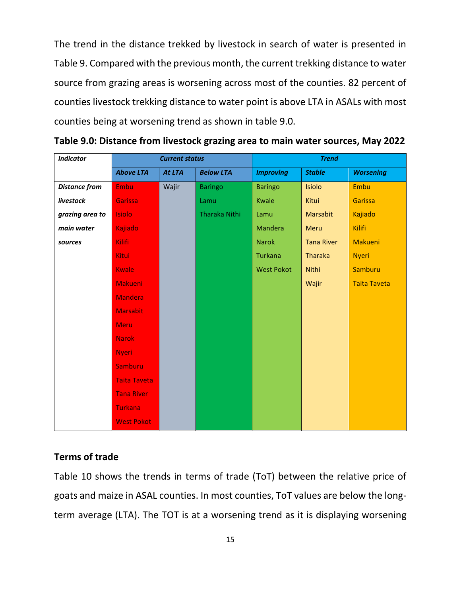The trend in the distance trekked by livestock in search of water is presented in Table 9. Compared with the previous month, the current trekking distance to water source from grazing areas is worsening across most of the counties. 82 percent of counties livestock trekking distance to water point is above LTA in ASALs with most counties being at worsening trend as shown in table 9.0.

| <b>Indicator</b>     | <b>Current status</b> |               |                  | <b>Trend</b>      |                   |                     |  |
|----------------------|-----------------------|---------------|------------------|-------------------|-------------------|---------------------|--|
|                      | <b>Above LTA</b>      | <b>At LTA</b> | <b>Below LTA</b> | <b>Improving</b>  | <b>Stable</b>     | <b>Worsening</b>    |  |
| <b>Distance from</b> | Embu                  | Wajir         | <b>Baringo</b>   | <b>Baringo</b>    | Isiolo            | Embu                |  |
| livestock            | <b>Garissa</b>        |               | Lamu             | <b>Kwale</b>      | Kitui             | <b>Garissa</b>      |  |
| grazing area to      | Isiolo                |               | Tharaka Nithi    | Lamu              | Marsabit          | Kajiado             |  |
| main water           | Kajiado               |               |                  | Mandera           | Meru              | Kilifi              |  |
| sources              | <b>Kilifi</b>         |               |                  | <b>Narok</b>      | <b>Tana River</b> | <b>Makueni</b>      |  |
|                      | <b>Kitui</b>          |               |                  | Turkana           | <b>Tharaka</b>    | <b>Nyeri</b>        |  |
|                      | <b>Kwale</b>          |               |                  | <b>West Pokot</b> | Nithi             | Samburu             |  |
|                      | <b>Makueni</b>        |               |                  |                   | Wajir             | <b>Taita Taveta</b> |  |
|                      | <b>Mandera</b>        |               |                  |                   |                   |                     |  |
|                      | <b>Marsabit</b>       |               |                  |                   |                   |                     |  |
|                      | <b>Meru</b>           |               |                  |                   |                   |                     |  |
|                      | <b>Narok</b>          |               |                  |                   |                   |                     |  |
|                      | <b>Nyeri</b>          |               |                  |                   |                   |                     |  |
|                      | <b>Samburu</b>        |               |                  |                   |                   |                     |  |
|                      | <b>Taita Taveta</b>   |               |                  |                   |                   |                     |  |
|                      | <b>Tana River</b>     |               |                  |                   |                   |                     |  |
|                      | <b>Turkana</b>        |               |                  |                   |                   |                     |  |
|                      | <b>West Pokot</b>     |               |                  |                   |                   |                     |  |

| Table 9.0: Distance from livestock grazing area to main water sources, May 2022 |  |  |  |  |  |
|---------------------------------------------------------------------------------|--|--|--|--|--|
|---------------------------------------------------------------------------------|--|--|--|--|--|

### **Terms of trade**

Table 10 shows the trends in terms of trade (ToT) between the relative price of goats and maize in ASAL counties. In most counties, ToT values are below the longterm average (LTA). The TOT is at a worsening trend as it is displaying worsening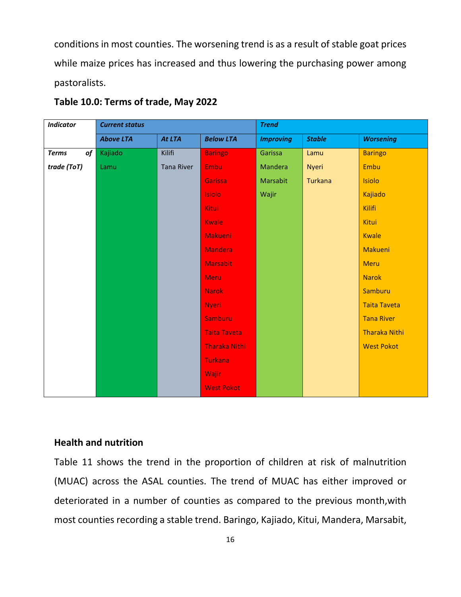conditions in most counties. The worsening trend is as a result of stable goat prices while maize prices has increased and thus lowering the purchasing power among pastoralists.

| <b>Indicator</b>   | <b>Current status</b> |                   |                      | <b>Trend</b>     |                |                      |  |  |  |
|--------------------|-----------------------|-------------------|----------------------|------------------|----------------|----------------------|--|--|--|
|                    | <b>Above LTA</b>      | At LTA            | <b>Below LTA</b>     | <b>Improving</b> | <b>Stable</b>  | <b>Worsening</b>     |  |  |  |
| of<br><b>Terms</b> | Kajiado               | Kilifi            | <b>Baringo</b>       | Garissa          | Lamu           | <b>Baringo</b>       |  |  |  |
| trade (ToT)        | Lamu                  | <b>Tana River</b> | Embu                 | Mandera          | <b>Nyeri</b>   | Embu                 |  |  |  |
|                    |                       |                   | <b>Garissa</b>       | Marsabit         | <b>Turkana</b> | Isiolo               |  |  |  |
|                    |                       |                   | <b>Isiolo</b>        | Wajir            |                | Kajiado              |  |  |  |
|                    |                       |                   | Kitui                |                  |                | <b>Kilifi</b>        |  |  |  |
|                    |                       |                   | Kwale                |                  |                | Kitui                |  |  |  |
|                    |                       |                   | Makueni              |                  |                | <b>Kwale</b>         |  |  |  |
|                    |                       |                   | <b>Mandera</b>       |                  |                | <b>Makueni</b>       |  |  |  |
|                    |                       |                   | <b>Marsabit</b>      |                  |                | <b>Meru</b>          |  |  |  |
|                    |                       |                   | <b>Meru</b>          |                  |                | <b>Narok</b>         |  |  |  |
|                    |                       |                   | <b>Narok</b>         |                  |                | <b>Samburu</b>       |  |  |  |
|                    |                       |                   | <b>Nyeri</b>         |                  |                | <b>Taita Taveta</b>  |  |  |  |
|                    |                       |                   | Samburu              |                  |                | <b>Tana River</b>    |  |  |  |
|                    |                       |                   | <b>Taita Taveta</b>  |                  |                | <b>Tharaka Nithi</b> |  |  |  |
|                    |                       |                   | <b>Tharaka Nithi</b> |                  |                | <b>West Pokot</b>    |  |  |  |
|                    |                       |                   | <b>Turkana</b>       |                  |                |                      |  |  |  |
|                    |                       |                   | Wajir                |                  |                |                      |  |  |  |
|                    |                       |                   | <b>West Pokot</b>    |                  |                |                      |  |  |  |

**Table 10.0: Terms of trade, May 2022**

#### **Health and nutrition**

Table 11 shows the trend in the proportion of children at risk of malnutrition (MUAC) across the ASAL counties. The trend of MUAC has either improved or deteriorated in a number of counties as compared to the previous month,with most counties recording a stable trend. Baringo, Kajiado, Kitui, Mandera, Marsabit,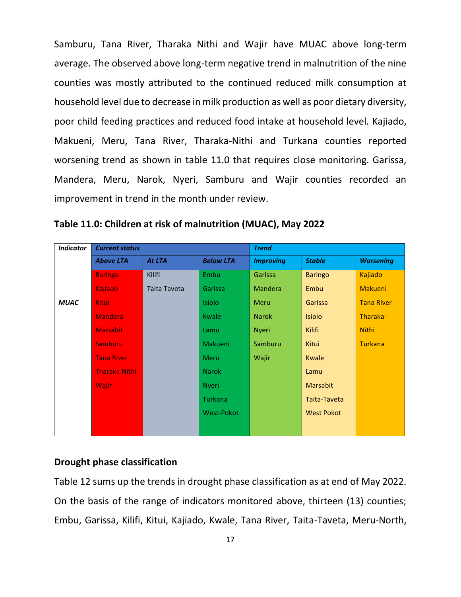Samburu, Tana River, Tharaka Nithi and Wajir have MUAC above long-term average. The observed above long-term negative trend in malnutrition of the nine counties was mostly attributed to the continued reduced milk consumption at household level due to decrease in milk production as well as poor dietary diversity, poor child feeding practices and reduced food intake at household level. Kajiado, Makueni, Meru, Tana River, Tharaka-Nithi and Turkana counties reported worsening trend as shown in table 11.0 that requires close monitoring. Garissa, Mandera, Meru, Narok, Nyeri, Samburu and Wajir counties recorded an improvement in trend in the month under review.

| <b>Indicator</b> | <b>Current status</b> |              |                  | <b>Trend</b>     |                   |                   |  |
|------------------|-----------------------|--------------|------------------|------------------|-------------------|-------------------|--|
|                  | <b>Above LTA</b>      | At LTA       | <b>Below LTA</b> | <b>Improving</b> | <b>Stable</b>     | <b>Worsening</b>  |  |
|                  | <b>Baringo</b>        | Kilifi       | Embu             | Garissa          | <b>Baringo</b>    | Kajiado           |  |
|                  | Kajiado               | Taita Taveta | Garissa          | <b>Mandera</b>   | Embu              | <b>Makueni</b>    |  |
| <b>MUAC</b>      | <b>Kitui</b>          |              | <b>Isiolo</b>    | Meru             | Garissa           | <b>Tana River</b> |  |
|                  | <b>Mandera</b>        |              | Kwale            | <b>Narok</b>     | <b>Isiolo</b>     | Tharaka-          |  |
|                  | <b>Marsabit</b>       |              | Lamu             | Nyeri            | Kilifi            | <b>Nithi</b>      |  |
|                  | <b>Samburu</b>        |              | Makueni          | Samburu          | Kitui             | <b>Turkana</b>    |  |
|                  | <b>Tana River</b>     |              | Meru             | Wajir            | Kwale             |                   |  |
|                  | <b>Tharaka Nithi</b>  |              | <b>Narok</b>     |                  | Lamu              |                   |  |
|                  | <b>Wajir</b>          |              | <b>Nyeri</b>     |                  | <b>Marsabit</b>   |                   |  |
|                  |                       |              | Turkana          |                  | Taita-Taveta      |                   |  |
|                  |                       |              | West-Pokot       |                  | <b>West Pokot</b> |                   |  |
|                  |                       |              |                  |                  |                   |                   |  |

**Table 11.0: Children at risk of malnutrition (MUAC), May 2022**

#### **Drought phase classification**

Table 12 sums up the trends in drought phase classification as at end of May 2022. On the basis of the range of indicators monitored above, thirteen (13) counties; Embu, Garissa, Kilifi, Kitui, Kajiado, Kwale, Tana River, Taita-Taveta, Meru-North,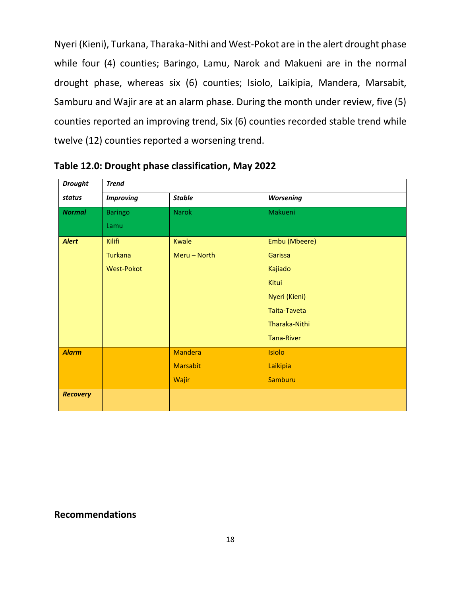Nyeri (Kieni), Turkana, Tharaka-Nithi and West-Pokot are in the alert drought phase while four (4) counties; Baringo, Lamu, Narok and Makueni are in the normal drought phase, whereas six (6) counties; Isiolo, Laikipia, Mandera, Marsabit, Samburu and Wajir are at an alarm phase. During the month under review, five (5) counties reported an improving trend, Six (6) counties recorded stable trend while twelve (12) counties reported a worsening trend.

| <b>Drought</b>  | <b>Trend</b>      |                 |                   |  |  |  |  |
|-----------------|-------------------|-----------------|-------------------|--|--|--|--|
| status          | <b>Improving</b>  | <b>Stable</b>   | <b>Worsening</b>  |  |  |  |  |
| <b>Normal</b>   | <b>Baringo</b>    | <b>Narok</b>    | Makueni           |  |  |  |  |
|                 | Lamu              |                 |                   |  |  |  |  |
| <b>Alert</b>    | Kilifi            | <b>Kwale</b>    | Embu (Mbeere)     |  |  |  |  |
|                 | <b>Turkana</b>    | Meru - North    | Garissa           |  |  |  |  |
|                 | <b>West-Pokot</b> |                 | Kajiado           |  |  |  |  |
|                 |                   |                 | Kitui             |  |  |  |  |
|                 |                   |                 | Nyeri (Kieni)     |  |  |  |  |
|                 |                   |                 | Taita-Taveta      |  |  |  |  |
|                 |                   |                 | Tharaka-Nithi     |  |  |  |  |
|                 |                   |                 | <b>Tana-River</b> |  |  |  |  |
| <b>Alarm</b>    |                   | <b>Mandera</b>  | Isiolo            |  |  |  |  |
|                 |                   | <b>Marsabit</b> | Laikipia          |  |  |  |  |
|                 |                   | Wajir           | Samburu           |  |  |  |  |
| <b>Recovery</b> |                   |                 |                   |  |  |  |  |
|                 |                   |                 |                   |  |  |  |  |

## **Table 12.0: Drought phase classification, May 2022**

## **Recommendations**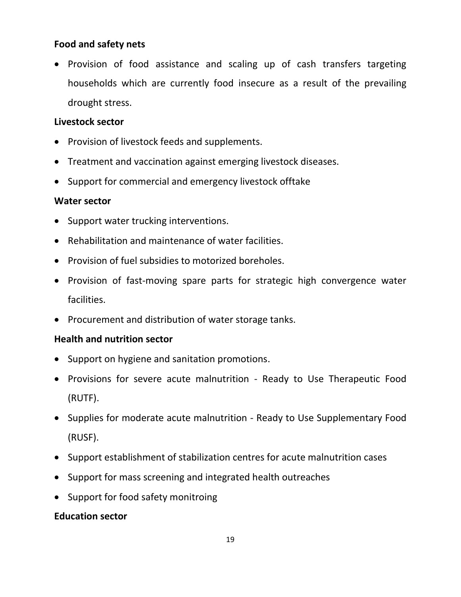# **Food and safety nets**

• Provision of food assistance and scaling up of cash transfers targeting households which are currently food insecure as a result of the prevailing drought stress.

## **Livestock sector**

- Provision of livestock feeds and supplements.
- Treatment and vaccination against emerging livestock diseases.
- Support for commercial and emergency livestock offtake

## **Water sector**

- Support water trucking interventions.
- Rehabilitation and maintenance of water facilities.
- Provision of fuel subsidies to motorized boreholes.
- Provision of fast-moving spare parts for strategic high convergence water facilities.
- Procurement and distribution of water storage tanks.

## **Health and nutrition sector**

- Support on hygiene and sanitation promotions.
- Provisions for severe acute malnutrition Ready to Use Therapeutic Food (RUTF).
- Supplies for moderate acute malnutrition Ready to Use Supplementary Food (RUSF).
- Support establishment of stabilization centres for acute malnutrition cases
- Support for mass screening and integrated health outreaches
- Support for food safety monitroing

## **Education sector**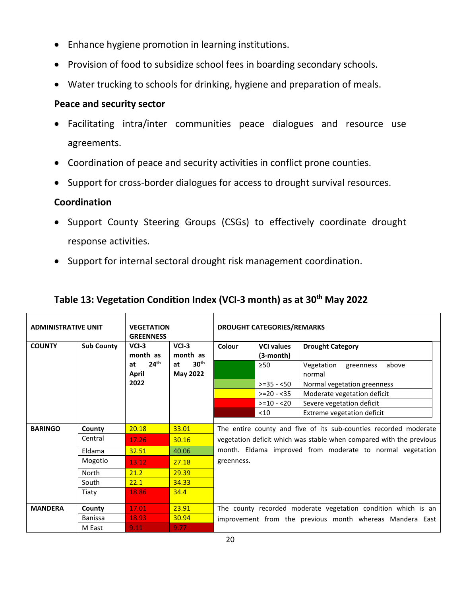- Enhance hygiene promotion in learning institutions.
- Provision of food to subsidize school fees in boarding secondary schools.
- Water trucking to schools for drinking, hygiene and preparation of meals.

# **Peace and security sector**

- Facilitating intra/inter communities peace dialogues and resource use agreements.
- Coordination of peace and security activities in conflict prone counties.
- Support for cross-border dialogues for access to drought survival resources.

# **Coordination**

- Support County Steering Groups (CSGs) to effectively coordinate drought response activities.
- Support for internal sectoral drought risk management coordination.

| <b>ADMINISTRATIVE UNIT</b> |                   | <b>VEGETATION</b><br><b>GREENNESS</b> |                                           | <b>DROUGHT CATEGORIES/REMARKS</b> |                                      |                                                                     |  |  |
|----------------------------|-------------------|---------------------------------------|-------------------------------------------|-----------------------------------|--------------------------------------|---------------------------------------------------------------------|--|--|
| <b>COUNTY</b>              | <b>Sub County</b> | $VCI-3$<br>month as                   | $VCI-3$<br>month as                       | Colour                            | <b>VCI values</b><br>$(3$ -month $)$ | <b>Drought Category</b>                                             |  |  |
|                            |                   | 24 <sup>th</sup><br>at<br>April       | 30 <sup>th</sup><br>at<br><b>May 2022</b> |                                   | $\geq 50$                            | Vegetation<br>above<br>greenness<br>normal                          |  |  |
|                            |                   | 2022                                  |                                           |                                   | $>=35 - 50$                          | Normal vegetation greenness                                         |  |  |
|                            |                   |                                       |                                           |                                   | $>= 20 - 35$                         | Moderate vegetation deficit                                         |  |  |
|                            |                   |                                       |                                           |                                   | Severe vegetation deficit            |                                                                     |  |  |
|                            |                   |                                       |                                           | < 10                              |                                      | Extreme vegetation deficit                                          |  |  |
| <b>BARINGO</b>             | County            | 20.18                                 | 33.01                                     |                                   |                                      | The entire county and five of its sub-counties recorded moderate    |  |  |
|                            | Central           | 17.26                                 | 30.16                                     |                                   |                                      | vegetation deficit which was stable when compared with the previous |  |  |
|                            | Eldama            | 32.51                                 | 40.06                                     |                                   |                                      | month. Eldama improved from moderate to normal vegetation           |  |  |
|                            | Mogotio           | 13.12                                 | 27.18                                     | greenness.                        |                                      |                                                                     |  |  |
|                            | North             | 21.2                                  | 29.39                                     |                                   |                                      |                                                                     |  |  |
|                            | South             | 22.1                                  | 34.33                                     |                                   |                                      |                                                                     |  |  |
|                            | Tiaty             | 18.86                                 | 34.4                                      |                                   |                                      |                                                                     |  |  |
| <b>MANDERA</b>             | County            | 17.01                                 | 23.91                                     |                                   |                                      | The county recorded moderate vegetation condition which is an       |  |  |
|                            | Banissa           | 18.93                                 | 30.94                                     |                                   |                                      | improvement from the previous month whereas Mandera East            |  |  |
|                            | M East            | 9.11                                  | 9.77                                      |                                   |                                      |                                                                     |  |  |

# **Table 13: Vegetation Condition Index (VCI-3 month) as at 30th May 2022**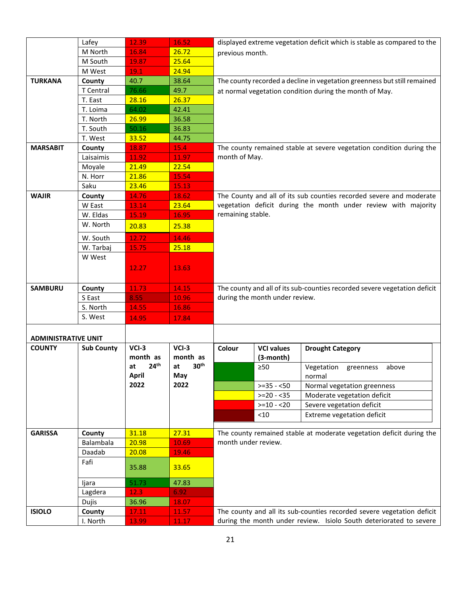|                            | Lafey             | 12.39                  | 16.52                  | displayed extreme vegetation deficit which is stable as compared to the |                                                                           |                                                                          |  |  |
|----------------------------|-------------------|------------------------|------------------------|-------------------------------------------------------------------------|---------------------------------------------------------------------------|--------------------------------------------------------------------------|--|--|
|                            | M North           | 16.84                  | 26.72                  | previous month.                                                         |                                                                           |                                                                          |  |  |
|                            | M South           | 19.87                  | 25.64                  |                                                                         |                                                                           |                                                                          |  |  |
|                            | M West            | 19.1                   | 24.94                  |                                                                         |                                                                           |                                                                          |  |  |
| <b>TURKANA</b>             | County            | 40.7                   | 38.64                  |                                                                         |                                                                           | The county recorded a decline in vegetation greenness but still remained |  |  |
|                            | T Central         | 76.66                  | 49.7                   |                                                                         |                                                                           | at normal vegetation condition during the month of May.                  |  |  |
|                            | T. East           | 28.16                  | 26.37                  |                                                                         |                                                                           |                                                                          |  |  |
|                            | T. Loima          | 64.02                  | 42.41                  |                                                                         |                                                                           |                                                                          |  |  |
|                            | T. North          | 26.99                  | 36.58                  |                                                                         |                                                                           |                                                                          |  |  |
|                            | T. South          | 50.16                  | 36.83                  |                                                                         |                                                                           |                                                                          |  |  |
|                            | T. West           | 33.52                  | 44.75                  |                                                                         |                                                                           |                                                                          |  |  |
| <b>MARSABIT</b>            | County            | 18.87                  | 15.4                   |                                                                         |                                                                           | The county remained stable at severe vegetation condition during the     |  |  |
|                            | Laisaimis         | 11.92                  | 11.97                  | month of May.                                                           |                                                                           |                                                                          |  |  |
|                            | Moyale            | 21.49                  | 22.54                  |                                                                         |                                                                           |                                                                          |  |  |
|                            | N. Horr           | 21.86                  | 15.54                  |                                                                         |                                                                           |                                                                          |  |  |
|                            | Saku              | 23.46                  | 15.13                  |                                                                         |                                                                           |                                                                          |  |  |
| <b>WAJIR</b>               | County            | 14.76                  | 18.62                  |                                                                         |                                                                           | The County and all of its sub counties recorded severe and moderate      |  |  |
|                            | W East            | 13.14                  | 23.64                  |                                                                         |                                                                           | vegetation deficit during the month under review with majority           |  |  |
|                            | W. Eldas          | 15.19                  | 16.95                  | remaining stable.                                                       |                                                                           |                                                                          |  |  |
|                            | W. North          | 20.83                  | 25.38                  |                                                                         |                                                                           |                                                                          |  |  |
|                            | W. South          | 12.72                  | 14.46                  |                                                                         |                                                                           |                                                                          |  |  |
|                            | W. Tarbaj         | 15.75                  | 25.18                  |                                                                         |                                                                           |                                                                          |  |  |
|                            | W West            |                        |                        |                                                                         |                                                                           |                                                                          |  |  |
|                            |                   | 12.27                  | 13.63                  |                                                                         |                                                                           |                                                                          |  |  |
| <b>SAMBURU</b>             | County            | 11.73                  | 14.15                  |                                                                         |                                                                           |                                                                          |  |  |
|                            | S East            | 8.55                   | 10.96                  |                                                                         | The county and all of its sub-counties recorded severe vegetation deficit |                                                                          |  |  |
|                            |                   |                        |                        | during the month under review.                                          |                                                                           |                                                                          |  |  |
|                            |                   |                        |                        |                                                                         |                                                                           |                                                                          |  |  |
|                            | S. North          | 14.55                  | 16.86                  |                                                                         |                                                                           |                                                                          |  |  |
|                            | S. West           | 14.95                  | 17.84                  |                                                                         |                                                                           |                                                                          |  |  |
| <b>ADMINISTRATIVE UNIT</b> |                   |                        |                        |                                                                         |                                                                           |                                                                          |  |  |
| <b>COUNTY</b>              | <b>Sub County</b> | VCI-3                  | $VCI-3$                | Colour                                                                  | <b>VCI values</b>                                                         | <b>Drought Category</b>                                                  |  |  |
|                            |                   | month as               | month as               |                                                                         | (3-month)                                                                 |                                                                          |  |  |
|                            |                   | 24 <sup>th</sup><br>at | 30 <sup>th</sup><br>at |                                                                         | $\geq 50$                                                                 | Vegetation greenness<br>above                                            |  |  |
|                            |                   | <b>April</b>           | May                    |                                                                         |                                                                           | normal                                                                   |  |  |
|                            |                   | 2022                   | 2022                   |                                                                         | $>=35 - 50$                                                               | Normal vegetation greenness                                              |  |  |
|                            |                   |                        |                        |                                                                         | $>=20 - 35$                                                               | Moderate vegetation deficit                                              |  |  |
|                            |                   |                        |                        |                                                                         | $>=10 - 20$                                                               | Severe vegetation deficit                                                |  |  |
|                            |                   |                        |                        |                                                                         | $<$ 10                                                                    | Extreme vegetation deficit                                               |  |  |
|                            |                   |                        |                        |                                                                         |                                                                           |                                                                          |  |  |
| <b>GARISSA</b>             | County            | 31.18                  | 27.31                  |                                                                         |                                                                           | The county remained stable at moderate vegetation deficit during the     |  |  |
|                            | Balambala         | 20.98                  | 10.69                  | month under review.                                                     |                                                                           |                                                                          |  |  |
|                            | Daadab            | 20.08                  | 19.46                  |                                                                         |                                                                           |                                                                          |  |  |
|                            | Fafi              | 35.88                  | 33.65                  |                                                                         |                                                                           |                                                                          |  |  |
|                            | ljara             | 51.73                  | 47.83                  |                                                                         |                                                                           |                                                                          |  |  |
|                            | Lagdera           | 12.3                   | 6.92                   |                                                                         |                                                                           |                                                                          |  |  |
|                            | Dujis             | 36.96                  | 18.07                  |                                                                         |                                                                           |                                                                          |  |  |
| <b>ISIOLO</b>              | County            | 17.11                  | 11.57                  |                                                                         |                                                                           | The county and all its sub-counties recorded severe vegetation deficit   |  |  |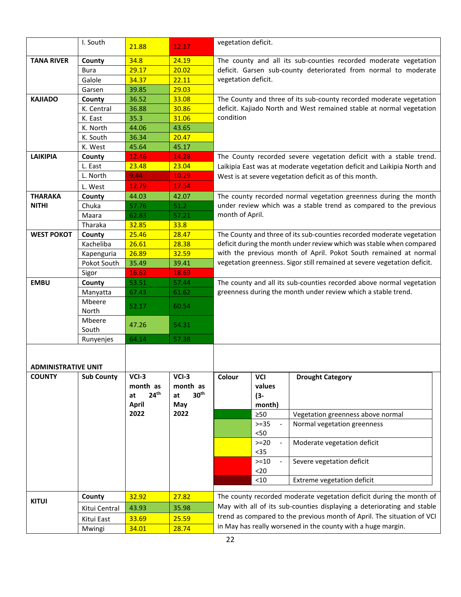|                                             | I. South              | 21.88                  | 12.17                  | vegetation deficit.                                                      |                                     |                                                                         |  |  |
|---------------------------------------------|-----------------------|------------------------|------------------------|--------------------------------------------------------------------------|-------------------------------------|-------------------------------------------------------------------------|--|--|
| <b>TANA RIVER</b>                           |                       | 34.8                   | 24.19                  | The county and all its sub-counties recorded moderate vegetation         |                                     |                                                                         |  |  |
|                                             | County<br><b>Bura</b> | 29.17                  | 20.02                  | deficit. Garsen sub-county deteriorated from normal to moderate          |                                     |                                                                         |  |  |
|                                             | Galole                | 34.37                  | 22.11                  | vegetation deficit.                                                      |                                     |                                                                         |  |  |
|                                             | Garsen                | 39.85                  | 29.03                  |                                                                          |                                     |                                                                         |  |  |
| <b>KAJIADO</b>                              | County                | 36.52                  | 33.08                  |                                                                          |                                     | The County and three of its sub-county recorded moderate vegetation     |  |  |
|                                             | K. Central            | 36.88                  | 30.86                  |                                                                          |                                     | deficit. Kajiado North and West remained stable at normal vegetation    |  |  |
|                                             | K. East               | 35.3                   | 31.06                  | condition                                                                |                                     |                                                                         |  |  |
|                                             | K. North              | 44.06                  | 43.65                  |                                                                          |                                     |                                                                         |  |  |
|                                             | K. South              | 36.34                  | 20.47                  |                                                                          |                                     |                                                                         |  |  |
|                                             | K. West               | 45.64                  | 45.17                  |                                                                          |                                     |                                                                         |  |  |
| <b>LAIKIPIA</b>                             | County                | 12.46                  | 14.28                  |                                                                          |                                     | The County recorded severe vegetation deficit with a stable trend.      |  |  |
|                                             | L. East               | 23.48                  | 23.04                  |                                                                          |                                     | Laikipia East was at moderate vegetation deficit and Laikipia North and |  |  |
|                                             | L. North              | 9.44                   | 10.29                  |                                                                          |                                     | West is at severe vegetation deficit as of this month.                  |  |  |
|                                             | L. West               | 12.79                  | 17.54                  |                                                                          |                                     |                                                                         |  |  |
| <b>THARAKA</b>                              | County                | 44.03                  | 42.07                  |                                                                          |                                     | The county recorded normal vegetation greenness during the month        |  |  |
| <b>NITHI</b>                                | Chuka                 | 57.76                  | 51.2                   |                                                                          |                                     | under review which was a stable trend as compared to the previous       |  |  |
|                                             | Maara                 | 62.83                  | 57.21                  | month of April.                                                          |                                     |                                                                         |  |  |
|                                             | Tharaka               | 32.85                  | 33.8                   |                                                                          |                                     |                                                                         |  |  |
| <b>WEST POKOT</b>                           | County                | 25.46                  | 28.47                  | The County and three of its sub-counties recorded moderate vegetation    |                                     |                                                                         |  |  |
|                                             | Kacheliba             | 26.61                  | 28.38                  | deficit during the month under review which was stable when compared     |                                     |                                                                         |  |  |
|                                             | Kapenguria            | 26.89                  | 32.59                  | with the previous month of April. Pokot South remained at normal         |                                     |                                                                         |  |  |
|                                             | Pokot South           | 35.49                  | 39.41                  | vegetation greenness. Sigor still remained at severe vegetation deficit. |                                     |                                                                         |  |  |
|                                             | Sigor                 | 16.62                  | 18.69                  |                                                                          |                                     |                                                                         |  |  |
| <b>EMBU</b>                                 | County                | 53.51                  | 57.44                  | The county and all its sub-counties recorded above normal vegetation     |                                     |                                                                         |  |  |
|                                             | Manyatta              | 67.43                  | 61.62                  |                                                                          |                                     | greenness during the month under review which a stable trend.           |  |  |
|                                             | Mbeere<br>North       | 52.17                  | 60.54                  |                                                                          |                                     |                                                                         |  |  |
|                                             | Mbeere<br>South       | 47.26                  | 54.31                  |                                                                          |                                     |                                                                         |  |  |
|                                             | Runyenjes             | 64.14                  | 57.38                  |                                                                          |                                     |                                                                         |  |  |
| <b>ADMINISTRATIVE UNIT</b><br><b>COUNTY</b> | <b>Sub County</b>     | VCI-3                  | VCI-3                  | Colour                                                                   | VCI                                 | <b>Drought Category</b>                                                 |  |  |
|                                             |                       | month as               | month as               |                                                                          | values                              |                                                                         |  |  |
|                                             |                       | 24 <sup>th</sup><br>at | 30 <sup>th</sup><br>at |                                                                          | $(3 -$                              |                                                                         |  |  |
|                                             |                       | <b>April</b>           | May                    |                                                                          | month)                              |                                                                         |  |  |
|                                             |                       | 2022                   | 2022                   |                                                                          | $\geq 50$                           | Vegetation greenness above normal                                       |  |  |
|                                             |                       |                        |                        |                                                                          | $>= 35$<br>$\overline{\phantom{a}}$ | Normal vegetation greenness                                             |  |  |
|                                             |                       |                        |                        |                                                                          | $50$                                |                                                                         |  |  |
|                                             |                       |                        |                        |                                                                          | $>= 20$<br>$\overline{\phantom{a}}$ | Moderate vegetation deficit                                             |  |  |
|                                             |                       |                        |                        |                                                                          | $35$                                |                                                                         |  |  |
|                                             |                       |                        |                        |                                                                          | $>=10$<br>$\overline{\phantom{a}}$  | Severe vegetation deficit                                               |  |  |
|                                             |                       |                        |                        |                                                                          | $20$                                |                                                                         |  |  |
|                                             |                       |                        |                        |                                                                          | $<$ 10                              | Extreme vegetation deficit                                              |  |  |
| <b>KITUI</b>                                | County                | 32.92                  | 27.82                  |                                                                          |                                     | The county recorded moderate vegetation deficit during the month of     |  |  |
|                                             | Kitui Central         | 43.93                  | 35.98                  |                                                                          |                                     | May with all of its sub-counties displaying a deteriorating and stable  |  |  |
|                                             | Kitui East            | 33.69                  | 25.59                  |                                                                          |                                     | trend as compared to the previous month of April. The situation of VCI  |  |  |
|                                             | Mwingi                | 34.01                  | 28.74                  | in May has really worsened in the county with a huge margin.             |                                     |                                                                         |  |  |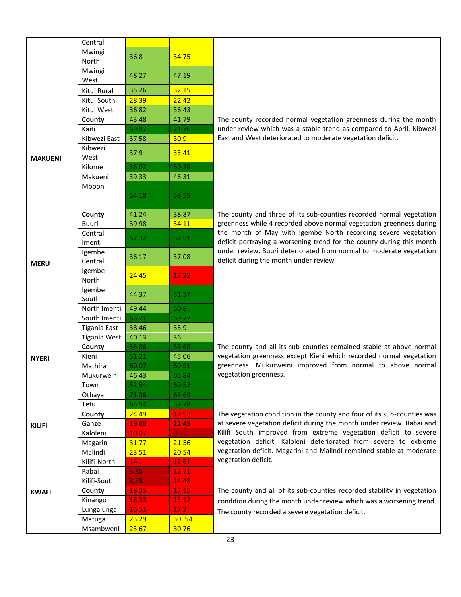|                | Central                |       |       |                                                                                             |
|----------------|------------------------|-------|-------|---------------------------------------------------------------------------------------------|
|                | Mwingi<br>North        | 36.8  | 34.75 |                                                                                             |
|                | Mwingi<br>West         | 48.27 | 47.19 |                                                                                             |
|                | Kitui Rural            | 35.26 | 32.15 |                                                                                             |
|                | Kitui South            | 28.39 | 22.42 |                                                                                             |
|                | Kitui West             | 36.82 | 36.43 |                                                                                             |
|                | County                 | 43.48 | 41.79 | The county recorded normal vegetation greenness during the month                            |
|                | Kaiti                  | 69.97 | 71.76 | under review which was a stable trend as compared to April. Kibwezi                         |
|                | Kibwezi East           | 37.58 | 30.9  | East and West deteriorated to moderate vegetation deficit.                                  |
|                | Kibwezi                |       |       |                                                                                             |
| <b>MAKUENI</b> | West                   | 37.9  | 33.41 |                                                                                             |
|                | Kilome                 | 56.02 | 50.28 |                                                                                             |
|                | Makueni                | 39.33 | 46.31 |                                                                                             |
|                | Mbooni                 | 54.18 | 58.55 |                                                                                             |
|                |                        | 41.24 | 38.87 | The county and three of its sub-counties recorded normal vegetation                         |
|                | County<br><b>Buuri</b> | 39.98 | 34.11 | greenness while 4 recorded above normal vegetation greenness during                         |
|                | Central                |       |       | the month of May with Igembe North recording severe vegetation                              |
|                | Imenti                 | 57.32 | 57.51 | deficit portraying a worsening trend for the county during this month                       |
|                | Igembe                 |       |       | under review. Buuri deteriorated from normal to moderate vegetation                         |
| <b>MERU</b>    | Central                | 36.17 | 37.08 | deficit during the month under review.                                                      |
|                | Igembe<br>North        | 24.45 | 17.22 |                                                                                             |
|                | Igembe<br>South        | 44.37 | 51.57 |                                                                                             |
|                | North Imenti           | 49.44 | 50.8  |                                                                                             |
|                | South Imenti           | 63.71 | 59.72 |                                                                                             |
|                | <b>Tigania East</b>    | 38.46 | 35.9  |                                                                                             |
|                | <b>Tigania West</b>    | 40.13 | 36    |                                                                                             |
|                | County                 | 55.86 | 53.68 | The county and all its sub counties remained stable at above normal                         |
| <b>NYERI</b>   | Kieni                  | 51.21 | 45.06 | vegetation greenness except Kieni which recorded normal vegetation                          |
|                | Mathira                | 60.07 | 60.91 | greenness. Mukurweini improved from normal to above normal                                  |
|                | Mukurweini             | 46.43 | 65.84 | vegetation greenness.                                                                       |
|                | Town                   | 52.54 | 69.52 |                                                                                             |
|                | Othaya                 | 71.36 | 65.69 |                                                                                             |
|                | Tetu                   | 65.94 | 57.78 |                                                                                             |
|                | County                 | 24.49 | 17.53 | The vegetation condition in the county and four of its sub-counties was                     |
| <b>KILIFI</b>  | Ganze                  | 19.68 | 11.49 | at severe vegetation deficit during the month under review. Rabai and                       |
|                | Kaloleni               | 10.07 | 9.65  | Kilifi South improved from extreme vegetation deficit to severe                             |
|                | Magarini               | 31.77 | 21.56 | vegetation deficit. Kaloleni deteriorated from severe to extreme                            |
|                | Malindi                | 23.51 | 20.54 | vegetation deficit. Magarini and Malindi remained stable at moderate<br>vegetation deficit. |
|                | Kilifi-North           | 14.1  | 12.61 |                                                                                             |
|                | Rabai                  | 3.85  | 12.71 |                                                                                             |
|                | Kilifi-South           | 8.35  | 14.48 |                                                                                             |
| <b>KWALE</b>   | County                 | 18.55 | 17.15 | The county and all of its sub-counties recorded stability in vegetation                     |
|                | Kinango                | 18.33 | 13.12 | condition during the month under review which was a worsening trend.                        |
|                | Lungalunga             | 15.51 | 17.2  | The county recorded a severe vegetation deficit.                                            |
|                | Matuga                 | 23.29 | 30.54 |                                                                                             |
|                | Msambweni              | 23.67 | 30.76 |                                                                                             |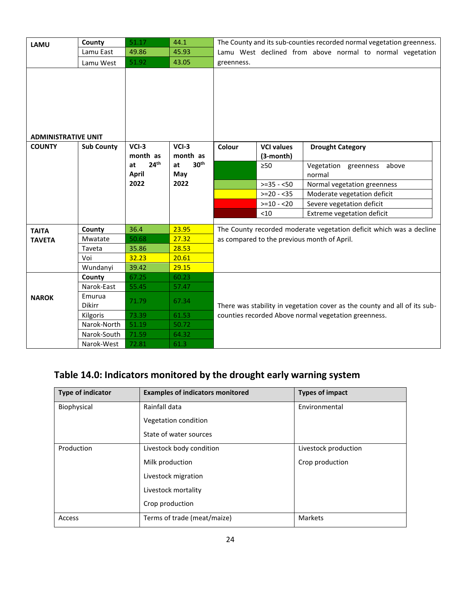| LAMU                       | County            | 51.17                              | 44.1                               | The County and its sub-counties recorded normal vegetation greenness.                                              |                        |  |        |                             |  |  |  |
|----------------------------|-------------------|------------------------------------|------------------------------------|--------------------------------------------------------------------------------------------------------------------|------------------------|--|--------|-----------------------------|--|--|--|
|                            | Lamu East         | 49.86                              | 45.93                              | Lamu West declined from above normal to normal vegetation                                                          |                        |  |        |                             |  |  |  |
|                            | Lamu West         | 51.92                              | 43.05                              | greenness.                                                                                                         |                        |  |        |                             |  |  |  |
| <b>ADMINISTRATIVE UNIT</b> |                   |                                    |                                    |                                                                                                                    |                        |  |        |                             |  |  |  |
| <b>COUNTY</b>              | <b>Sub County</b> | $VCI-3$                            | $VCI-3$                            | Colour                                                                                                             | <b>VCI values</b>      |  |        | <b>Drought Category</b>     |  |  |  |
|                            |                   | month as<br>24 <sup>th</sup><br>at | month as<br>30 <sup>th</sup><br>at |                                                                                                                    | (3-month)<br>$\geq 50$ |  |        |                             |  |  |  |
|                            |                   | April                              | May                                |                                                                                                                    |                        |  | normal | Vegetation greenness above  |  |  |  |
|                            |                   | 2022                               | 2022                               |                                                                                                                    | $>=35 - 50$            |  |        | Normal vegetation greenness |  |  |  |
|                            |                   |                                    |                                    |                                                                                                                    | $>=20 - 35$            |  |        | Moderate vegetation deficit |  |  |  |
|                            |                   |                                    |                                    |                                                                                                                    | $>=10 - 20$            |  |        | Severe vegetation deficit   |  |  |  |
|                            |                   |                                    |                                    |                                                                                                                    | $<$ 10                 |  |        | Extreme vegetation deficit  |  |  |  |
|                            | County            | 36.4                               | 23.95                              |                                                                                                                    |                        |  |        |                             |  |  |  |
| <b>TAITA</b>               | Mwatate           | 50.68                              | 27.32                              | The County recorded moderate vegetation deficit which was a decline<br>as compared to the previous month of April. |                        |  |        |                             |  |  |  |
| <b>TAVETA</b>              | Taveta            | 35.86                              | 28.53                              |                                                                                                                    |                        |  |        |                             |  |  |  |
|                            | Voi               | 32.23                              | 20.61                              |                                                                                                                    |                        |  |        |                             |  |  |  |
|                            | Wundanyi          | 39.42                              | 29.15                              |                                                                                                                    |                        |  |        |                             |  |  |  |
|                            | County            | 67.25                              | 60.23                              |                                                                                                                    |                        |  |        |                             |  |  |  |
|                            | Narok-East        | 55.45                              | 57.47                              |                                                                                                                    |                        |  |        |                             |  |  |  |
| <b>NAROK</b>               | Emurua            |                                    |                                    |                                                                                                                    |                        |  |        |                             |  |  |  |
|                            | <b>Dikirr</b>     | 71.79                              | 67.34                              | There was stability in vegetation cover as the county and all of its sub-                                          |                        |  |        |                             |  |  |  |
|                            | Kilgoris          | 73.39                              | 61.53                              | counties recorded Above normal vegetation greenness.                                                               |                        |  |        |                             |  |  |  |
|                            | Narok-North       | 51.19                              | 50.72                              |                                                                                                                    |                        |  |        |                             |  |  |  |
|                            | Narok-South       | 71.59                              | 64.32                              |                                                                                                                    |                        |  |        |                             |  |  |  |
|                            | Narok-West        | 72.81                              | 61.3                               |                                                                                                                    |                        |  |        |                             |  |  |  |

# **Table 14.0: Indicators monitored by the drought early warning system**

| <b>Type of indicator</b> | <b>Examples of indicators monitored</b> | <b>Types of impact</b> |
|--------------------------|-----------------------------------------|------------------------|
| Biophysical              | Rainfall data                           | Environmental          |
|                          | Vegetation condition                    |                        |
|                          | State of water sources                  |                        |
| Production               | Livestock body condition                | Livestock production   |
|                          | Milk production                         | Crop production        |
|                          | Livestock migration                     |                        |
|                          | Livestock mortality                     |                        |
|                          | Crop production                         |                        |
| Access                   | Terms of trade (meat/maize)             | Markets                |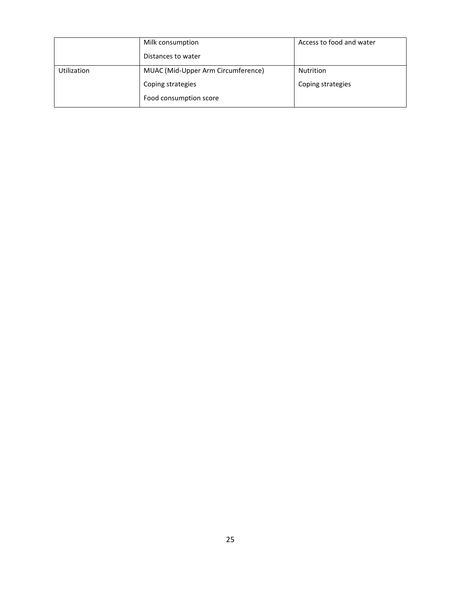|                    | Milk consumption                   | Access to food and water |
|--------------------|------------------------------------|--------------------------|
|                    | Distances to water                 |                          |
| <b>Utilization</b> | MUAC (Mid-Upper Arm Circumference) | Nutrition                |
|                    | Coping strategies                  | Coping strategies        |
|                    | Food consumption score             |                          |